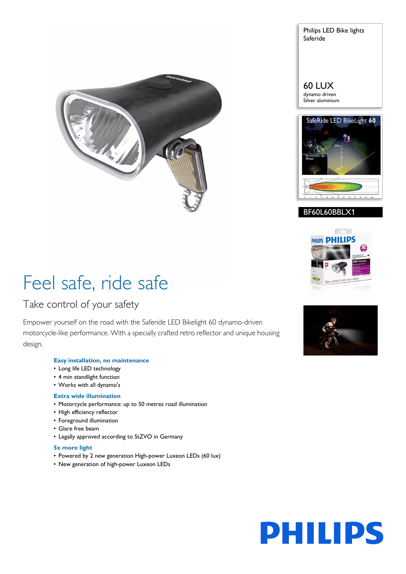

Philips LED Bike lights Saferide

#### 60 LUX dynamo driven Silver aluminium







## Feel safe, ride safe

### Take control of your safety

Empower yourself on the road with the Saferide LED Bikelight 60 dynamo-driven motorcycle-like performance. With a specially crafted retro reflector and unique housing design.

#### **Easy installation, no maintenance**

- Long life LED technology
- 4 min standlight function
- Works with all dynamo's

#### **Extra wide illumination**

- Motorcycle performance: up to 50 metres road illumination
- High efficiency reflector
- Foreground illumination
- Glare free beam
- Legally approved according to StZVO in Germany

#### **5x more light**

- Powered by 2 new generation High-power Luxeon LEDs (60 lux)
- New generation of high-power Luxeon LEDs



# **PHILIPS**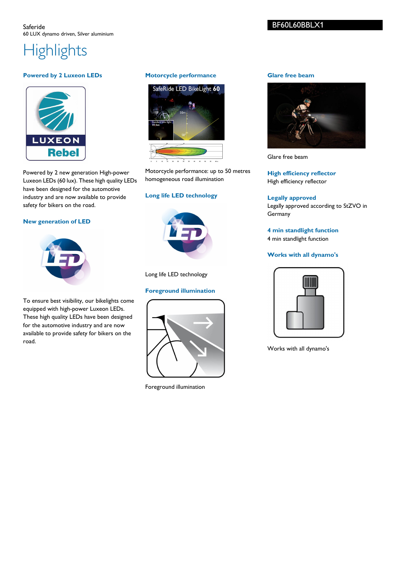## **Highlights**

#### **Powered by 2 Luxeon LEDs**



Powered by 2 new generation High-power Luxeon LEDs (60 lux). These high quality LEDs have been designed for the automotive industry and are now available to provide safety for bikers on the road.

#### **New generation of LED**



To ensure best visibility, our bikelights come equipped with high-power Luxeon LEDs. These high quality LEDs have been designed for the automotive industry and are now available to provide safety for bikers on the road.

#### **Motorcycle performance**



Motorcycle performance: up to 50 metres homogeneous road illumination

#### **Long life LED technology**



Long life LED technology

#### **Foreground illumination**



Foreground illumination

#### **Glare free beam**



Glare free beam

**High efficiency reflector** High efficiency reflector

#### **Legally approved** Legally approved according to StZVO in Germany

**4 min standlight function** 4 min standlight function

#### **Works with all dynamo's**



Works with all dynamo's

#### BF60L60BBLX1